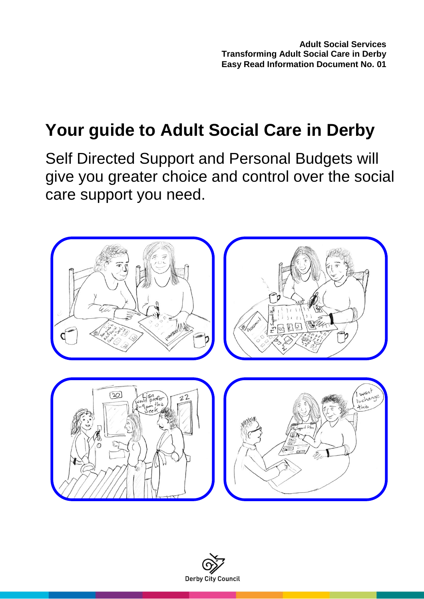# **Your guide to Adult Social Care in Derby**

Self Directed Support and Personal Budgets will give you greater choice and control over the social care support you need.



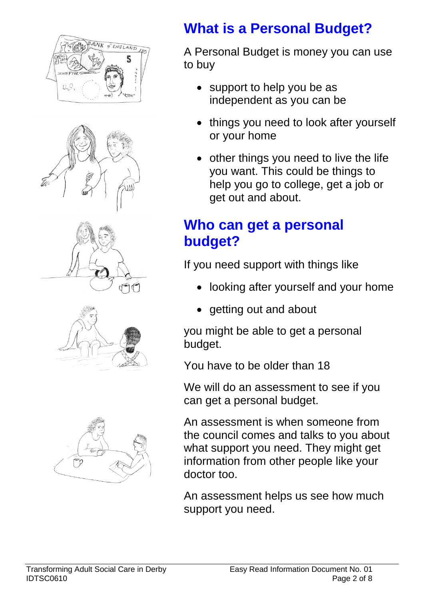









## **What is a Personal Budget?**

A Personal Budget is money you can use to buy

- support to help you be as independent as you can be
- things you need to look after yourself or your home
- other things you need to live the life you want. This could be things to help you go to college, get a job or get out and about.

## **Who can get a personal budget?**

If you need support with things like

- looking after yourself and your home
- getting out and about

you might be able to get a personal budget.

You have to be older than 18

We will do an assessment to see if you can get a personal budget.

An assessment is when someone from the council comes and talks to you about what support you need. They might get information from other people like your doctor too.

An assessment helps us see how much support you need.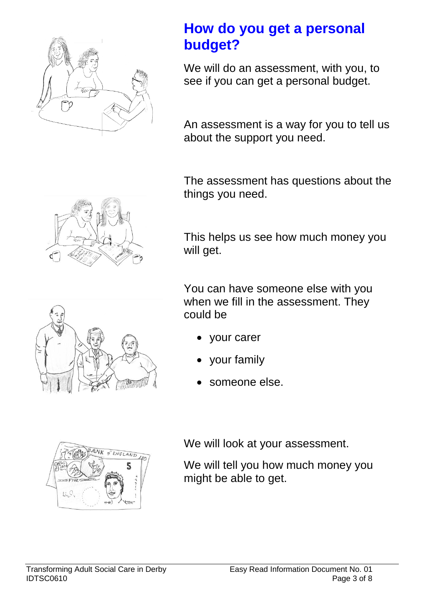

#### **How do you get a personal budget?**

We will do an assessment, with you, to see if you can get a personal budget.

An assessment is a way for you to tell us about the support you need.

The assessment has questions about the things you need.



This helps us see how much money you will get.

You can have someone else with you when we fill in the assessment. They could be

- your carer
- your family
- someone else.



We will look at your assessment.

We will tell you how much money you might be able to get.





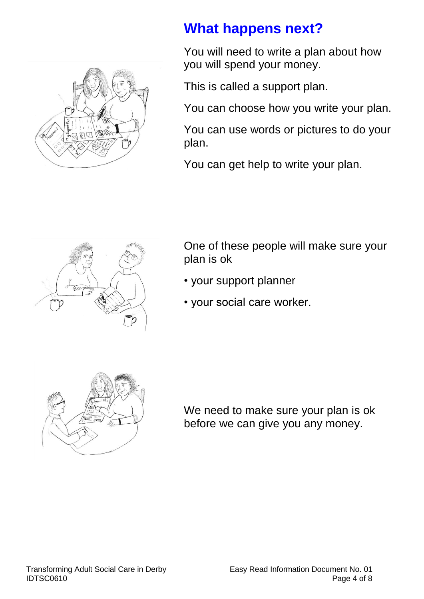

### **What happens next?**

You will need to write a plan about how you will spend your money.

This is called a support plan.

You can choose how you write your plan.

You can use words or pictures to do your plan.

You can get help to write your plan.



One of these people will make sure your plan is ok

- your support planner
- your social care worker.



We need to make sure your plan is ok before we can give you any money.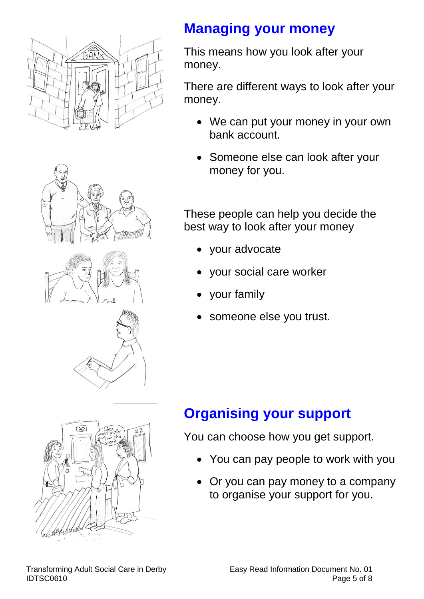







This means how you look after your money.

There are different ways to look after your money.

- We can put your money in your own bank account.
- Someone else can look after your money for you.

These people can help you decide the best way to look after your money

- your advocate
- your social care worker
- your family
- someone else you trust.



## **Organising your support**

You can choose how you get support.

- You can pay people to work with you
- Or you can pay money to a company to organise your support for you.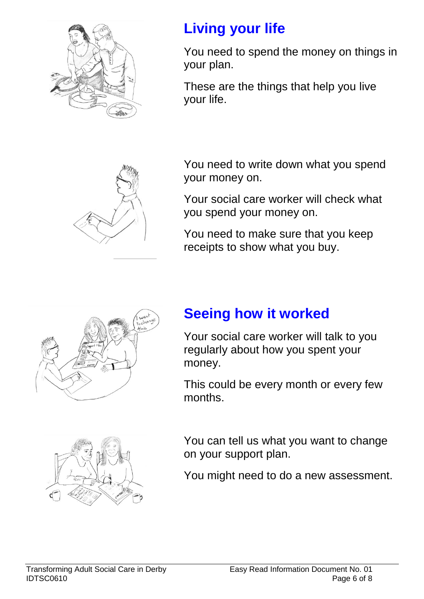

## **Living your life**

You need to spend the money on things in your plan.

These are the things that help you live your life.

You need to write down what you spend your money on.

Your social care worker will check what you spend your money on.

You need to make sure that you keep receipts to show what you buy.



## **Seeing how it worked**

Your social care worker will talk to you regularly about how you spent your money.

This could be every month or every few months.



You can tell us what you want to change on your support plan.

You might need to do a new assessment.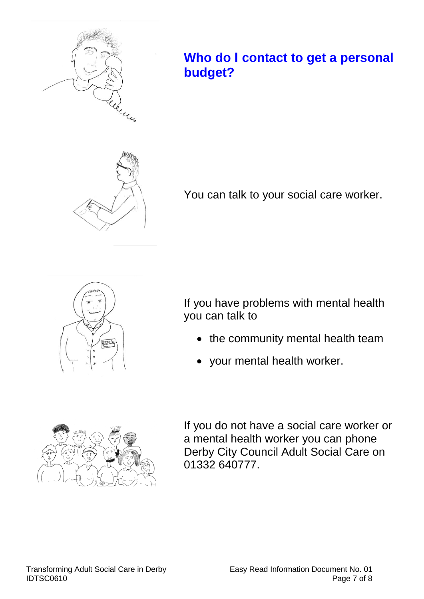

#### **Who do I contact to get a personal budget?**



You can talk to your social care worker.



If you have problems with mental health you can talk to

- the community mental health team
- your mental health worker.



If you do not have a social care worker or a mental health worker you can phone Derby City Council Adult Social Care on 01332 640777.